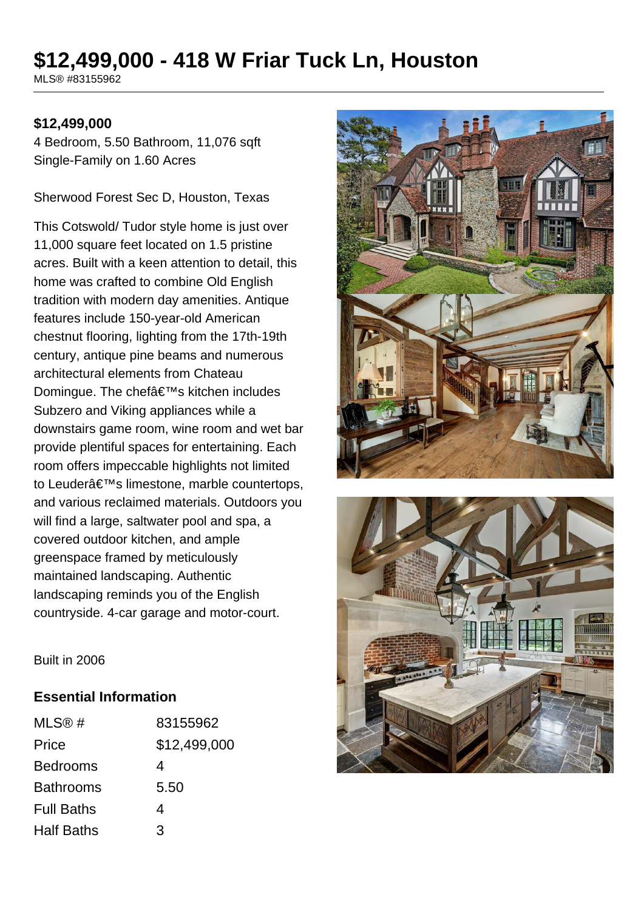# **\$12,499,000 - 418 W Friar Tuck Ln, Houston**

MLS® #83155962

#### **\$12,499,000**

4 Bedroom, 5.50 Bathroom, 11,076 sqft Single-Family on 1.60 Acres

Sherwood Forest Sec D, Houston, Texas

This Cotswold/ Tudor style home is just over 11,000 square feet located on 1.5 pristine acres. Built with a keen attention to detail, this home was crafted to combine Old English tradition with modern day amenities. Antique features include 150-year-old American chestnut flooring, lighting from the 17th-19th century, antique pine beams and numerous architectural elements from Chateau Domingue. The chef's kitchen includes Subzero and Viking appliances while a downstairs game room, wine room and wet bar provide plentiful spaces for entertaining. Each room offers impeccable highlights not limited to Leuder's limestone, marble countertops, and various reclaimed materials. Outdoors you will find a large, saltwater pool and spa, a covered outdoor kitchen, and ample greenspace framed by meticulously maintained landscaping. Authentic landscaping reminds you of the English countryside. 4-car garage and motor-court.





Built in 2006

#### **Essential Information**

| MLS@#             | 83155962     |
|-------------------|--------------|
| Price             | \$12,499,000 |
| <b>Bedrooms</b>   | 4            |
| <b>Bathrooms</b>  | 5.50         |
| <b>Full Baths</b> | 4            |
| <b>Half Baths</b> | З            |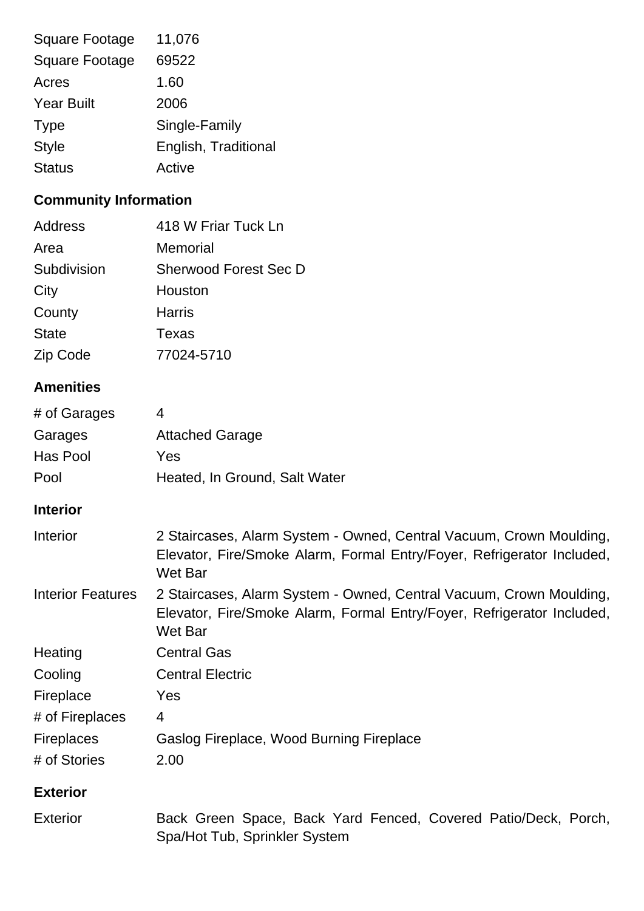| <b>Square Footage</b> | 11,076               |
|-----------------------|----------------------|
| <b>Square Footage</b> | 69522                |
| Acres                 | 1.60                 |
| <b>Year Built</b>     | 2006                 |
| <b>Type</b>           | Single-Family        |
| <b>Style</b>          | English, Traditional |
| <b>Status</b>         | Active               |
|                       |                      |

## **Community Information**

| Address      | 418 W Friar Tuck Ln   |
|--------------|-----------------------|
| Area         | Memorial              |
| Subdivision  | Sherwood Forest Sec D |
| City         | Houston               |
| County       | Harris                |
| <b>State</b> | Texas                 |
| Zip Code     | 77024-5710            |

## **Amenities**

| <b>Attached Garage</b>        |
|-------------------------------|
| Yes                           |
| Heated, In Ground, Salt Water |
|                               |

## **Interior**

| Interior                 | 2 Staircases, Alarm System - Owned, Central Vacuum, Crown Moulding,<br>Elevator, Fire/Smoke Alarm, Formal Entry/Foyer, Refrigerator Included,<br>Wet Bar |
|--------------------------|----------------------------------------------------------------------------------------------------------------------------------------------------------|
| <b>Interior Features</b> | 2 Staircases, Alarm System - Owned, Central Vacuum, Crown Moulding,<br>Elevator, Fire/Smoke Alarm, Formal Entry/Foyer, Refrigerator Included,<br>Wet Bar |
| Heating                  | <b>Central Gas</b>                                                                                                                                       |
| Cooling                  | <b>Central Electric</b>                                                                                                                                  |
| Fireplace                | Yes                                                                                                                                                      |
| # of Fireplaces          | 4                                                                                                                                                        |
| <b>Fireplaces</b>        | Gaslog Fireplace, Wood Burning Fireplace                                                                                                                 |
| # of Stories             | 2.00                                                                                                                                                     |

## **Exterior**

| Exterior | Back Green Space, Back Yard Fenced, Covered Patio/Deck, Porch, |  |  |  |  |
|----------|----------------------------------------------------------------|--|--|--|--|
|          | Spa/Hot Tub, Sprinkler System                                  |  |  |  |  |